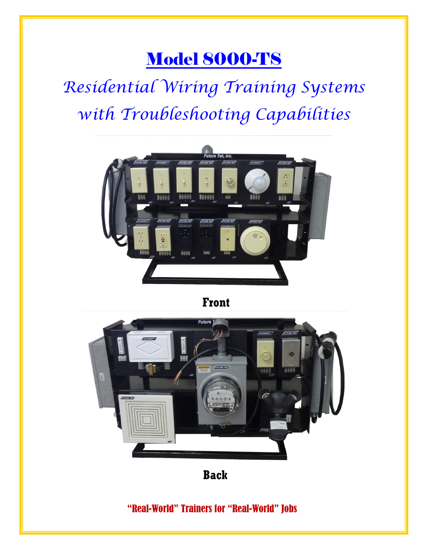# Model 8000-TS

*Residential Wiring Training Systems with Troubleshooting Capabilities*



**Front**



**Back**

"Real-World" Trainers for "Real-World" Jobs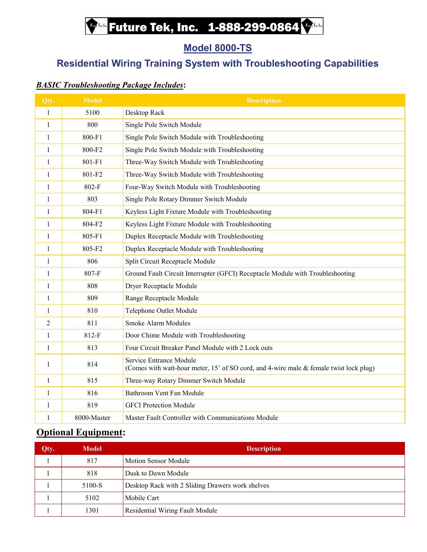## **Future Tek, Inc. 1-888-299-0864**

### **Model 8000-TS**

## **Residential Wiring Training System with Troubleshooting Capabilities**

### *BASIC Troubleshooting Package Includes***:**

| Qty.           | <b>Model</b> | <b>Description</b>                                                                                                |
|----------------|--------------|-------------------------------------------------------------------------------------------------------------------|
| $\mathbf{1}$   | 5100         | Desktop Rack                                                                                                      |
| $\mathbf{1}$   | 800          | Single Pole Switch Module                                                                                         |
| $\mathbf{1}$   | 800-F1       | Single Pole Switch Module with Troubleshooting                                                                    |
| $\mathbf{1}$   | 800-F2       | Single Pole Switch Module with Troubleshooting                                                                    |
| $\mathbf{1}$   | 801-F1       | Three-Way Switch Module with Troubleshooting                                                                      |
| $\mathbf{1}$   | 801-F2       | Three-Way Switch Module with Troubleshooting                                                                      |
| 1              | 802-F        | Four-Way Switch Module with Troubleshooting                                                                       |
| $\mathbf{1}$   | 803          | Single Pole Rotary Dimmer Switch Module                                                                           |
| $\mathbf{1}$   | 804-F1       | Keyless Light Fixture Module with Troubleshooting                                                                 |
| $\mathbf{1}$   | 804-F2       | Keyless Light Fixture Module with Troubleshooting                                                                 |
| $\mathbf{1}$   | 805-F1       | Duplex Receptacle Module with Troubleshooting                                                                     |
| 1              | 805-F2       | Duplex Receptacle Module with Troubleshooting                                                                     |
| $\mathbf{1}$   | 806          | Split Circuit Receptacle Module                                                                                   |
| $\mathbf{1}$   | 807-F        | Ground Fault Circuit Interrupter (GFCI) Receptacle Module with Troubleshooting                                    |
| $\mathbf{1}$   | 808          | <b>Dryer Receptacle Module</b>                                                                                    |
| $\mathbf{1}$   | 809          | Range Receptacle Module                                                                                           |
| 1              | 810          | Telephone Outlet Module                                                                                           |
| $\overline{2}$ | 811          | <b>Smoke Alarm Modules</b>                                                                                        |
| $\mathbf{1}$   | 812-F        | Door Chime Module with Troubleshooting                                                                            |
| $\mathbf{1}$   | 813          | Four Circuit Breaker Panel Module with 2 Lock outs                                                                |
| 1              | 814          | Service Entrance Module<br>(Comes with watt-hour meter, 15' of SO cord, and 4-wire male & female twist lock plug) |
| $\mathbf{1}$   | 815          | Three-way Rotary Dimmer Switch Module                                                                             |
| $\mathbf{1}$   | 816          | Bathroom Vent Fan Module                                                                                          |
| $\mathbf{1}$   | 819          | <b>GFCI Protection Module</b>                                                                                     |
| 1              | 8000-Master  | Master Fault Controller with Communications Module                                                                |

### **Optional Equipment:**

| Qty. | Model  | <b>Description</b>                               |
|------|--------|--------------------------------------------------|
|      | 817    | <b>Motion Sensor Module</b>                      |
|      | 818    | Dusk to Dawn Module                              |
|      | 5100-S | Desktop Rack with 2 Sliding Drawers work shelves |
|      | 5102   | Mobile Cart                                      |
|      | 1301   | <b>Residential Wiring Fault Module</b>           |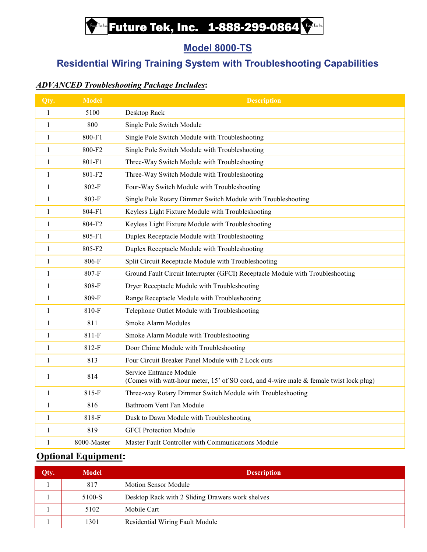## **Future Tek, Inc. 1-888-299-0864**

### **Model 8000-TS**

## **Residential Wiring Training System with Troubleshooting Capabilities**

### *ADVANCED Troubleshooting Package Includes***:**

| Qty.         | <b>Model</b> | <b>Description</b>                                                                                                |
|--------------|--------------|-------------------------------------------------------------------------------------------------------------------|
| $\mathbf{1}$ | 5100         | Desktop Rack                                                                                                      |
| $\mathbf{1}$ | 800          | Single Pole Switch Module                                                                                         |
| 1            | 800-F1       | Single Pole Switch Module with Troubleshooting                                                                    |
| 1            | 800-F2       | Single Pole Switch Module with Troubleshooting                                                                    |
| $\mathbf{1}$ | 801-F1       | Three-Way Switch Module with Troubleshooting                                                                      |
| 1            | 801-F2       | Three-Way Switch Module with Troubleshooting                                                                      |
| 1            | 802-F        | Four-Way Switch Module with Troubleshooting                                                                       |
| 1            | 803-F        | Single Pole Rotary Dimmer Switch Module with Troubleshooting                                                      |
| $\mathbf{1}$ | 804-F1       | Keyless Light Fixture Module with Troubleshooting                                                                 |
| $\mathbf{1}$ | 804-F2       | Keyless Light Fixture Module with Troubleshooting                                                                 |
| $\mathbf{1}$ | 805-F1       | Duplex Receptacle Module with Troubleshooting                                                                     |
| 1            | 805-F2       | Duplex Receptacle Module with Troubleshooting                                                                     |
| 1            | 806-F        | Split Circuit Receptacle Module with Troubleshooting                                                              |
| $\mathbf{1}$ | 807-F        | Ground Fault Circuit Interrupter (GFCI) Receptacle Module with Troubleshooting                                    |
| $\mathbf{1}$ | 808-F        | Dryer Receptacle Module with Troubleshooting                                                                      |
| 1            | 809-F        | Range Receptacle Module with Troubleshooting                                                                      |
| 1            | 810-F        | Telephone Outlet Module with Troubleshooting                                                                      |
| 1            | 811          | <b>Smoke Alarm Modules</b>                                                                                        |
| $\mathbf{1}$ | 811-F        | Smoke Alarm Module with Troubleshooting                                                                           |
| $\mathbf{1}$ | 812-F        | Door Chime Module with Troubleshooting                                                                            |
| $\mathbf{1}$ | 813          | Four Circuit Breaker Panel Module with 2 Lock outs                                                                |
| 1            | 814          | Service Entrance Module<br>(Comes with watt-hour meter, 15' of SO cord, and 4-wire male & female twist lock plug) |
| 1            | 815-F        | Three-way Rotary Dimmer Switch Module with Troubleshooting                                                        |
| $\mathbf{1}$ | 816          | Bathroom Vent Fan Module                                                                                          |
| $\mathbf{1}$ | 818-F        | Dusk to Dawn Module with Troubleshooting                                                                          |
| 1            | 819          | <b>GFCI Protection Module</b>                                                                                     |
| $\mathbf{1}$ | 8000-Master  | Master Fault Controller with Communications Module                                                                |

### **Optional Equipment:**

| Qty. | Model  | <b>Description</b>                               |
|------|--------|--------------------------------------------------|
|      | 817    | <b>Motion Sensor Module</b>                      |
|      | 5100-S | Desktop Rack with 2 Sliding Drawers work shelves |
|      | 5102   | Mobile Cart                                      |
|      | 1301   | <b>Residential Wiring Fault Module</b>           |